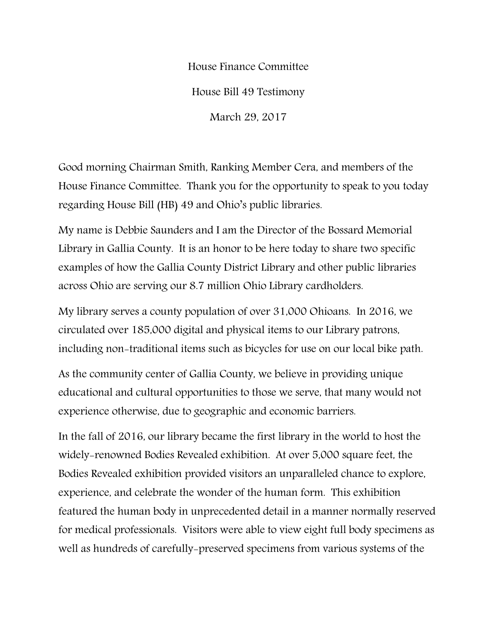House Finance Committee House Bill 49 Testimony March 29, 2017

Good morning Chairman Smith, Ranking Member Cera, and members of the House Finance Committee. Thank you for the opportunity to speak to you today regarding House Bill (HB) 49 and Ohio's public libraries.

My name is Debbie Saunders and I am the Director of the Bossard Memorial Library in Gallia County. It is an honor to be here today to share two specific examples of how the Gallia County District Library and other public libraries across Ohio are serving our 8.7 million Ohio Library cardholders.

My library serves a county population of over 31,000 Ohioans. In 2016, we circulated over 185,000 digital and physical items to our Library patrons, including non-traditional items such as bicycles for use on our local bike path.

As the community center of Gallia County, we believe in providing unique educational and cultural opportunities to those we serve, that many would not experience otherwise, due to geographic and economic barriers.

In the fall of 2016, our library became the first library in the world to host the widely-renowned Bodies Revealed exhibition. At over 5,000 square feet, the Bodies Revealed exhibition provided visitors an unparalleled chance to explore, experience, and celebrate the wonder of the human form. This exhibition featured the human body in unprecedented detail in a manner normally reserved for medical professionals. Visitors were able to view eight full body specimens as well as hundreds of carefully-preserved specimens from various systems of the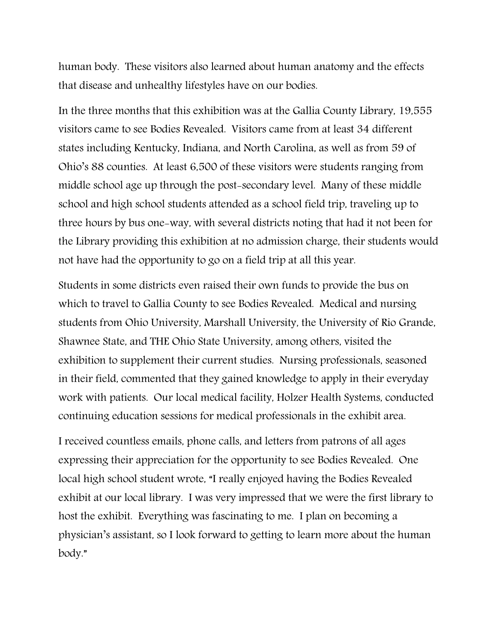human body. These visitors also learned about human anatomy and the effects that disease and unhealthy lifestyles have on our bodies.

In the three months that this exhibition was at the Gallia County Library, 19,555 visitors came to see Bodies Revealed. Visitors came from at least 34 different states including Kentucky, Indiana, and North Carolina, as well as from 59 of Ohio's 88 counties. At least 6,500 of these visitors were students ranging from middle school age up through the post-secondary level. Many of these middle school and high school students attended as a school field trip, traveling up to three hours by bus one-way, with several districts noting that had it not been for the Library providing this exhibition at no admission charge, their students would not have had the opportunity to go on a field trip at all this year.

Students in some districts even raised their own funds to provide the bus on which to travel to Gallia County to see Bodies Revealed. Medical and nursing students from Ohio University, Marshall University, the University of Rio Grande, Shawnee State, and THE Ohio State University, among others, visited the exhibition to supplement their current studies. Nursing professionals, seasoned in their field, commented that they gained knowledge to apply in their everyday work with patients. Our local medical facility, Holzer Health Systems, conducted continuing education sessions for medical professionals in the exhibit area.

I received countless emails, phone calls, and letters from patrons of all ages expressing their appreciation for the opportunity to see Bodies Revealed. One local high school student wrote, "I really enjoyed having the Bodies Revealed exhibit at our local library. I was very impressed that we were the first library to host the exhibit. Everything was fascinating to me. I plan on becoming a physician's assistant, so I look forward to getting to learn more about the human body."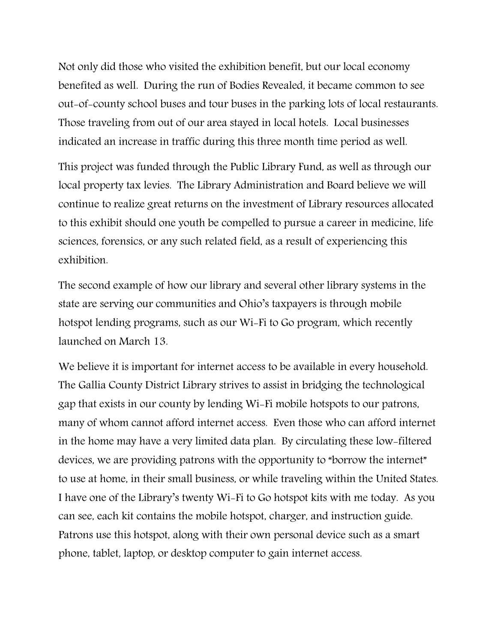Not only did those who visited the exhibition benefit, but our local economy benefited as well. During the run of Bodies Revealed, it became common to see out-of-county school buses and tour buses in the parking lots of local restaurants. Those traveling from out of our area stayed in local hotels. Local businesses indicated an increase in traffic during this three month time period as well.

This project was funded through the Public Library Fund, as well as through our local property tax levies. The Library Administration and Board believe we will continue to realize great returns on the investment of Library resources allocated to this exhibit should one youth be compelled to pursue a career in medicine, life sciences, forensics, or any such related field, as a result of experiencing this exhibition.

The second example of how our library and several other library systems in the state are serving our communities and Ohio's taxpayers is through mobile hotspot lending programs, such as our Wi-Fi to Go program, which recently launched on March 13.

We believe it is important for internet access to be available in every household. The Gallia County District Library strives to assist in bridging the technological gap that exists in our county by lending Wi-Fi mobile hotspots to our patrons, many of whom cannot afford internet access. Even those who can afford internet in the home may have a very limited data plan. By circulating these low-filtered devices, we are providing patrons with the opportunity to "borrow the internet" to use at home, in their small business, or while traveling within the United States. I have one of the Library's twenty Wi-Fi to Go hotspot kits with me today. As you can see, each kit contains the mobile hotspot, charger, and instruction guide. Patrons use this hotspot, along with their own personal device such as a smart phone, tablet, laptop, or desktop computer to gain internet access.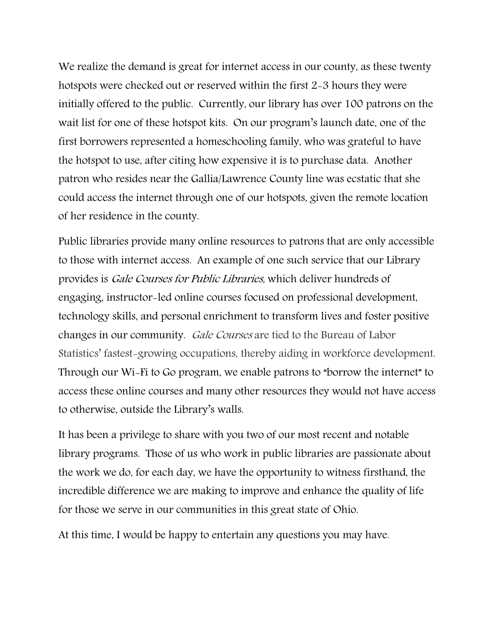We realize the demand is great for internet access in our county, as these twenty hotspots were checked out or reserved within the first 2-3 hours they were initially offered to the public. Currently, our library has over 100 patrons on the wait list for one of these hotspot kits. On our program's launch date, one of the first borrowers represented a homeschooling family, who was grateful to have the hotspot to use, after citing how expensive it is to purchase data. Another patron who resides near the Gallia/Lawrence County line was ecstatic that she could access the internet through one of our hotspots, given the remote location of her residence in the county.

Public libraries provide many online resources to patrons that are only accessible to those with internet access. An example of one such service that our Library provides is Gale Courses for Public Libraries, which deliver hundreds of engaging, instructor-led online courses focused on professional development, technology skills, and personal enrichment to transform lives and foster positive changes in our community. Gale Courses are tied to the Bureau of Labor Statistics' fastest-growing occupations, thereby aiding in workforce development. Through our Wi-Fi to Go program, we enable patrons to "borrow the internet" to access these online courses and many other resources they would not have access to otherwise, outside the Library's walls.

It has been a privilege to share with you two of our most recent and notable library programs. Those of us who work in public libraries are passionate about the work we do, for each day, we have the opportunity to witness firsthand, the incredible difference we are making to improve and enhance the quality of life for those we serve in our communities in this great state of Ohio.

At this time, I would be happy to entertain any questions you may have.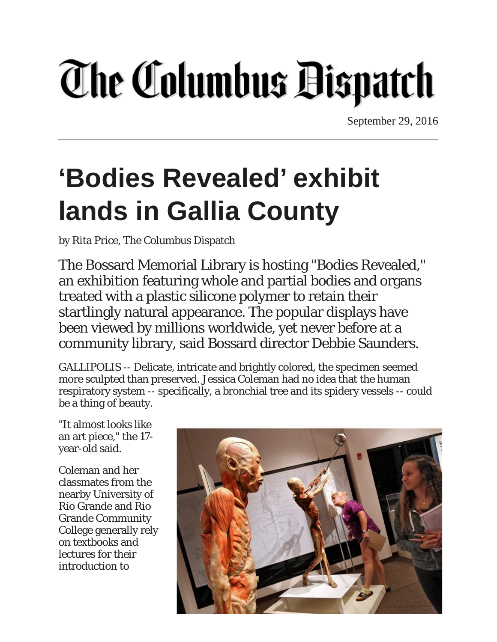# **The Columbus Bispatch**

September 29, 2016

### **'Bodies Revealed' exhibit lands in Gallia County**

by Rita Price, The Columbus Dispatch

The Bossard Memorial Library is hosting "Bodies Revealed," an exhibition featuring whole and partial bodies and organs treated with a plastic silicone polymer to retain their startlingly natural appearance. The popular displays have been viewed by millions worldwide, yet never before at a community library, said Bossard director Debbie Saunders.

GALLIPOLIS -- Delicate, intricate and brightly colored, the specimen seemed more sculpted than preserved. Jessica Coleman had no idea that the human respiratory system -- specifically, a bronchial tree and its spidery vessels -- could be a thing of beauty.

"It almost looks like an art piece," the 17 year-old said.

Coleman and her classmates from the nearby University of Rio Grande and Rio Grande Community College generally rely on textbooks and lectures for their introduction to

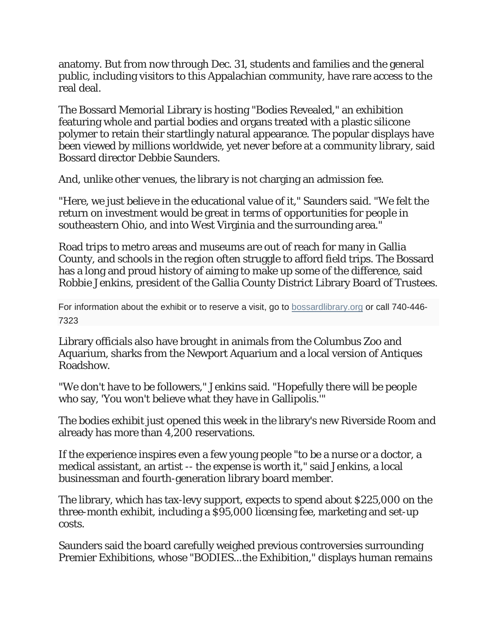anatomy. But from now through Dec. 31, students and families and the general public, including visitors to this Appalachian community, have rare access to the real deal.

The Bossard Memorial Library is hosting "Bodies Revealed," an exhibition featuring whole and partial bodies and organs treated with a plastic silicone polymer to retain their startlingly natural appearance. The popular displays have been viewed by millions worldwide, yet never before at a community library, said Bossard director Debbie Saunders.

And, unlike other venues, the library is not charging an admission fee.

"Here, we just believe in the educational value of it," Saunders said. "We felt the return on investment would be great in terms of opportunities for people in southeastern Ohio, and into West Virginia and the surrounding area."

Road trips to metro areas and museums are out of reach for many in Gallia County, and schools in the region often struggle to afford field trips. The Bossard has a long and proud history of aiming to make up some of the difference, said Robbie Jenkins, president of the Gallia County District Library Board of Trustees.

For information about the exhibit or to reserve a visit, go to **[bossardlibrary.org](http://bossardlibrary.org/)** or call 740-446-7323

Library officials also have brought in animals from the Columbus Zoo and Aquarium, sharks from the Newport Aquarium and a local version of Antiques Roadshow.

"We don't have to be followers," Jenkins said. "Hopefully there will be people who say, 'You won't believe what they have in Gallipolis.'"

The bodies exhibit just opened this week in the library's new Riverside Room and already has more than 4,200 reservations.

If the experience inspires even a few young people "to be a nurse or a doctor, a medical assistant, an artist -- the expense is worth it," said Jenkins, a local businessman and fourth-generation library board member.

The library, which has tax-levy support, expects to spend about \$225,000 on the three-month exhibit, including a \$95,000 licensing fee, marketing and set-up costs.

Saunders said the board carefully weighed previous controversies surrounding Premier Exhibitions, whose "BODIES...the Exhibition," displays human remains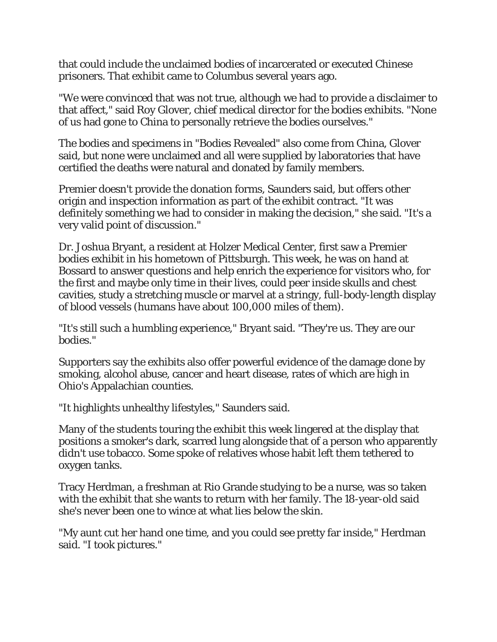that could include the unclaimed bodies of incarcerated or executed Chinese prisoners. That exhibit came to Columbus several years ago.

"We were convinced that was not true, although we had to provide a disclaimer to that affect," said Roy Glover, chief medical director for the bodies exhibits. "None of us had gone to China to personally retrieve the bodies ourselves."

The bodies and specimens in "Bodies Revealed" also come from China, Glover said, but none were unclaimed and all were supplied by laboratories that have certified the deaths were natural and donated by family members.

Premier doesn't provide the donation forms, Saunders said, but offers other origin and inspection information as part of the exhibit contract. "It was definitely something we had to consider in making the decision," she said. "It's a very valid point of discussion."

Dr. Joshua Bryant, a resident at Holzer Medical Center, first saw a Premier bodies exhibit in his hometown of Pittsburgh. This week, he was on hand at Bossard to answer questions and help enrich the experience for visitors who, for the first and maybe only time in their lives, could peer inside skulls and chest cavities, study a stretching muscle or marvel at a stringy, full-body-length display of blood vessels (humans have about 100,000 miles of them).

"It's still such a humbling experience," Bryant said. "They're us. They are our bodies."

Supporters say the exhibits also offer powerful evidence of the damage done by smoking, alcohol abuse, cancer and heart disease, rates of which are high in Ohio's Appalachian counties.

"It highlights unhealthy lifestyles," Saunders said.

Many of the students touring the exhibit this week lingered at the display that positions a smoker's dark, scarred lung alongside that of a person who apparently didn't use tobacco. Some spoke of relatives whose habit left them tethered to oxygen tanks.

Tracy Herdman, a freshman at Rio Grande studying to be a nurse, was so taken with the exhibit that she wants to return with her family. The 18-year-old said she's never been one to wince at what lies below the skin.

"My aunt cut her hand one time, and you could see pretty far inside," Herdman said. "I took pictures."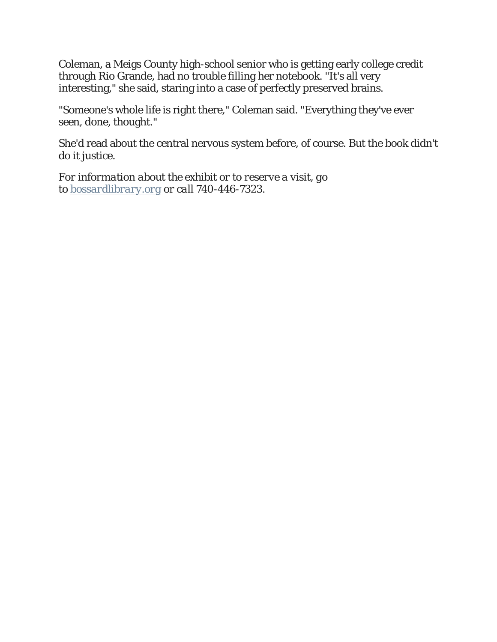Coleman, a Meigs County high-school senior who is getting early college credit through Rio Grande, had no trouble filling her notebook. "It's all very interesting," she said, staring into a case of perfectly preserved brains.

"Someone's whole life is right there," Coleman said. "Everything they've ever seen, done, thought."

She'd read about the central nervous system before, of course. But the book didn't do it justice.

*For information about the exhibit or to reserve a visit, go to [bossardlibrary.org](http://bossardlibrary.org/) or call 740-446-7323.*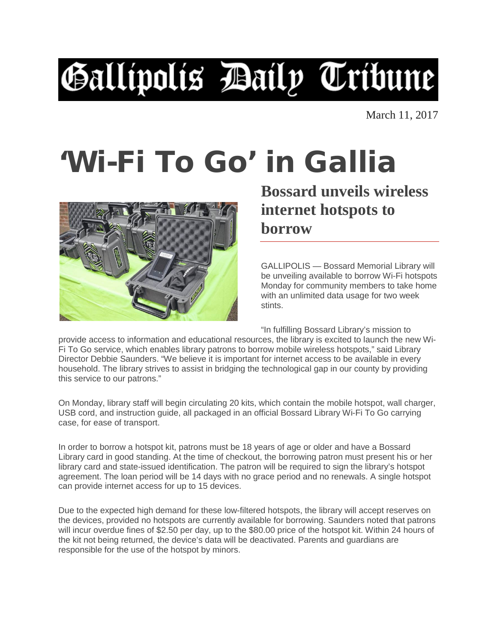## Gallipolis Baily Tribune

March 11, 2017

### 'Wi-Fi To Go' in Gallia



#### **Bossard unveils wireless internet hotspots to borrow**

GALLIPOLIS — Bossard Memorial Library will be unveiling available to borrow Wi-Fi hotspots Monday for community members to take home with an unlimited data usage for two week stints.

"In fulfilling Bossard Library's mission to

provide access to information and educational resources, the library is excited to launch the new Wi-Fi To Go service, which enables library patrons to borrow mobile wireless hotspots," said Library Director Debbie Saunders. "We believe it is important for internet access to be available in every household. The library strives to assist in bridging the technological gap in our county by providing this service to our patrons."

On Monday, library staff will begin circulating 20 kits, which contain the mobile hotspot, wall charger, USB cord, and instruction guide, all packaged in an official Bossard Library Wi-Fi To Go carrying case, for ease of transport.

In order to borrow a hotspot kit, patrons must be 18 years of age or older and have a Bossard Library card in good standing. At the time of checkout, the borrowing patron must present his or her library card and state-issued identification. The patron will be required to sign the library's hotspot agreement. The loan period will be 14 days with no grace period and no renewals. A single hotspot can provide internet access for up to 15 devices.

Due to the expected high demand for these low-filtered hotspots, the library will accept reserves on the devices, provided no hotspots are currently available for borrowing. Saunders noted that patrons will incur overdue fines of \$2.50 per day, up to the \$80.00 price of the hotspot kit. Within 24 hours of the kit not being returned, the device's data will be deactivated. Parents and guardians are responsible for the use of the hotspot by minors.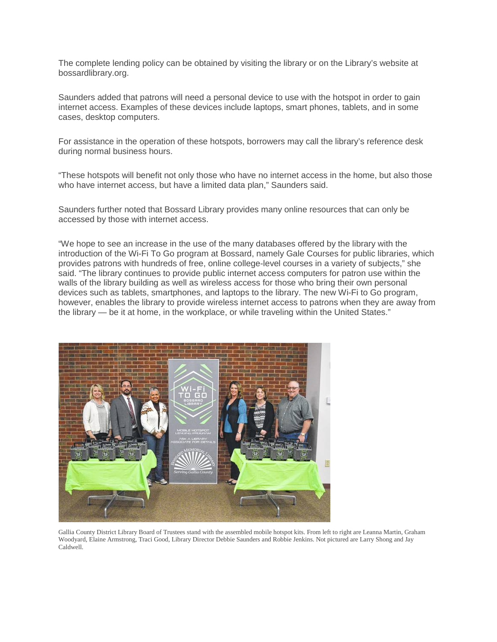The complete lending policy can be obtained by visiting the library or on the Library's website at bossardlibrary.org.

Saunders added that patrons will need a personal device to use with the hotspot in order to gain internet access. Examples of these devices include laptops, smart phones, tablets, and in some cases, desktop computers.

For assistance in the operation of these hotspots, borrowers may call the library's reference desk during normal business hours.

"These hotspots will benefit not only those who have no internet access in the home, but also those who have internet access, but have a limited data plan," Saunders said.

Saunders further noted that Bossard Library provides many online resources that can only be accessed by those with internet access.

"We hope to see an increase in the use of the many databases offered by the library with the introduction of the Wi-Fi To Go program at Bossard, namely Gale Courses for public libraries, which provides patrons with hundreds of free, online college-level courses in a variety of subjects," she said. "The library continues to provide public internet access computers for patron use within the walls of the library building as well as wireless access for those who bring their own personal devices such as tablets, smartphones, and laptops to the library. The new Wi-Fi to Go program, however, enables the library to provide wireless internet access to patrons when they are away from the library — be it at home, in the workplace, or while traveling within the United States."



Gallia County District Library Board of Trustees stand with the assembled mobile hotspot kits. From left to right are Leanna Martin, Graham Woodyard, Elaine Armstrong, Traci Good, Library Director Debbie Saunders and Robbie Jenkins. Not pictured are Larry Shong and Jay Caldwell.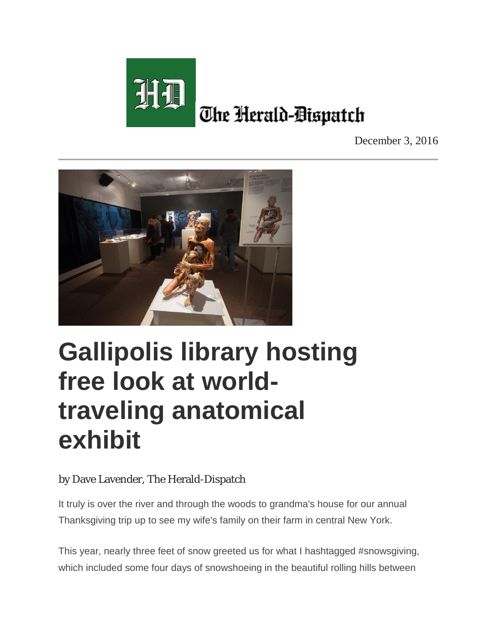

December 3, 2016



#### **Gallipolis library hosting free look at worldtraveling anatomical exhibit**

#### by Dave Lavender, The Herald-Dispatch

It truly is over the river and through the woods to grandma's house for our annual Thanksgiving trip up to see my wife's family on their farm in central New York.

This year, nearly three feet of snow greeted us for what I hashtagged #snowsgiving, which included some four days of snowshoeing in the beautiful rolling hills between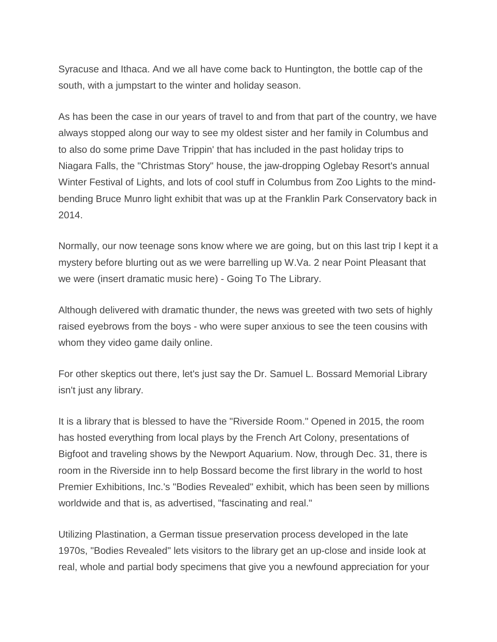Syracuse and Ithaca. And we all have come back to Huntington, the bottle cap of the south, with a jumpstart to the winter and holiday season.

As has been the case in our years of travel to and from that part of the country, we have always stopped along our way to see my oldest sister and her family in Columbus and to also do some prime Dave Trippin' that has included in the past holiday trips to Niagara Falls, the "Christmas Story" house, the jaw-dropping Oglebay Resort's annual Winter Festival of Lights, and lots of cool stuff in Columbus from Zoo Lights to the mindbending Bruce Munro light exhibit that was up at the Franklin Park Conservatory back in 2014.

Normally, our now teenage sons know where we are going, but on this last trip I kept it a mystery before blurting out as we were barrelling up W.Va. 2 near Point Pleasant that we were (insert dramatic music here) - Going To The Library.

Although delivered with dramatic thunder, the news was greeted with two sets of highly raised eyebrows from the boys - who were super anxious to see the teen cousins with whom they video game daily online.

For other skeptics out there, let's just say the Dr. Samuel L. Bossard Memorial Library isn't just any library.

It is a library that is blessed to have the "Riverside Room." Opened in 2015, the room has hosted everything from local plays by the French Art Colony, presentations of Bigfoot and traveling shows by the Newport Aquarium. Now, through Dec. 31, there is room in the Riverside inn to help Bossard become the first library in the world to host Premier Exhibitions, Inc.'s "Bodies Revealed" exhibit, which has been seen by millions worldwide and that is, as advertised, "fascinating and real."

Utilizing Plastination, a German tissue preservation process developed in the late 1970s, "Bodies Revealed" lets visitors to the library get an up-close and inside look at real, whole and partial body specimens that give you a newfound appreciation for your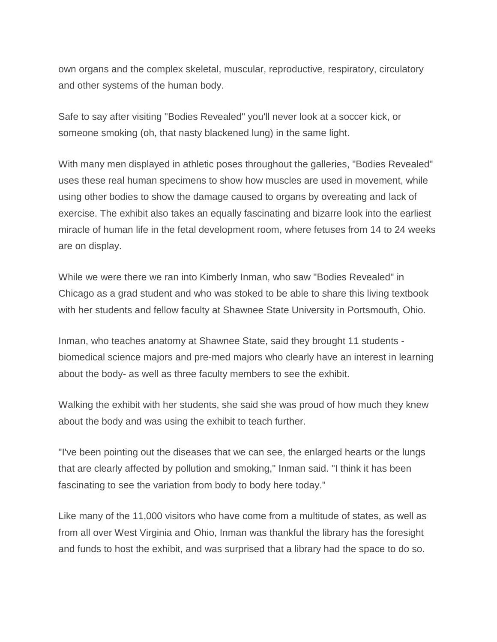own organs and the complex skeletal, muscular, reproductive, respiratory, circulatory and other systems of the human body.

Safe to say after visiting "Bodies Revealed" you'll never look at a soccer kick, or someone smoking (oh, that nasty blackened lung) in the same light.

With many men displayed in athletic poses throughout the galleries, "Bodies Revealed" uses these real human specimens to show how muscles are used in movement, while using other bodies to show the damage caused to organs by overeating and lack of exercise. The exhibit also takes an equally fascinating and bizarre look into the earliest miracle of human life in the fetal development room, where fetuses from 14 to 24 weeks are on display.

While we were there we ran into Kimberly Inman, who saw "Bodies Revealed" in Chicago as a grad student and who was stoked to be able to share this living textbook with her students and fellow faculty at Shawnee State University in Portsmouth, Ohio.

Inman, who teaches anatomy at Shawnee State, said they brought 11 students biomedical science majors and pre-med majors who clearly have an interest in learning about the body- as well as three faculty members to see the exhibit.

Walking the exhibit with her students, she said she was proud of how much they knew about the body and was using the exhibit to teach further.

"I've been pointing out the diseases that we can see, the enlarged hearts or the lungs that are clearly affected by pollution and smoking," Inman said. "I think it has been fascinating to see the variation from body to body here today."

Like many of the 11,000 visitors who have come from a multitude of states, as well as from all over West Virginia and Ohio, Inman was thankful the library has the foresight and funds to host the exhibit, and was surprised that a library had the space to do so.